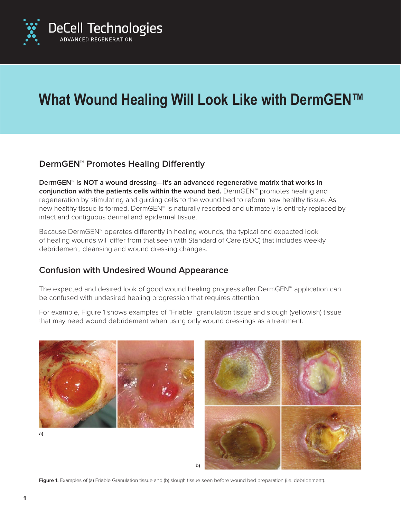

# **What Wound Healing Will Look Like with DermGEN™**

# **DermGEN™ Promotes Healing Differently**

**DermGEN™ is NOT a wound dressing—it's an advanced regenerative matrix that works in conjunction with the patients cells within the wound bed.** DermGEN™ promotes healing and regeneration by stimulating and guiding cells to the wound bed to reform new healthy tissue. As new healthy tissue is formed, DermGEN™ is naturally resorbed and ultimately is entirely replaced by intact and contiguous dermal and epidermal tissue.

Because DermGEN™ operates differently in healing wounds, the typical and expected look of healing wounds will differ from that seen with Standard of Care (SOC) that includes weekly debridement, cleansing and wound dressing changes.

### **Confusion with Undesired Wound Appearance**

The expected and desired look of good wound healing progress after DermGEN™ application can be confused with undesired healing progression that requires attention.

For example, Figure 1 shows examples of "Friable" granulation tissue and slough (yellowish) tissue that may need wound debridement when using only wound dressings as a treatment.







**b)**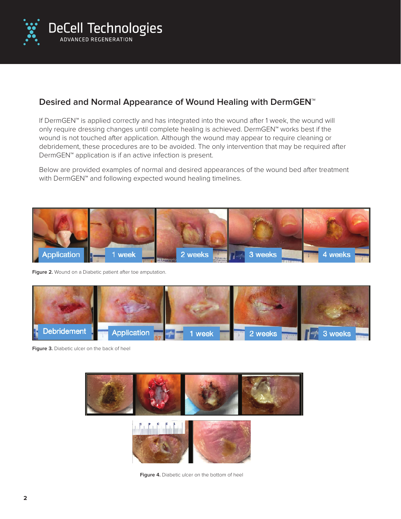

## **Desired and Normal Appearance of Wound Healing with DermGEN™**

If DermGEN™ is applied correctly and has integrated into the wound after 1 week, the wound will only require dressing changes until complete healing is achieved. DermGEN™ works best if the wound is not touched after application. Although the wound may appear to require cleaning or debridement, these procedures are to be avoided. The only intervention that may be required after DermGEN™ application is if an active infection is present.

Below are provided examples of normal and desired appearances of the wound bed after treatment with DermGEN<sup>™</sup> and following expected wound healing timelines.



**Figure 2.** Wound on a Diabetic patient after toe amputation.



**Figure 3.** Diabetic ulcer on the back of heel



**Figure 4.** Diabetic ulcer on the bottom of heel